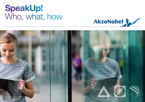# SpeakUp! Who, what, how



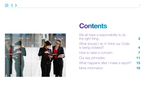

# **Contents**

| We all have a responsibility to do<br>the right thing      |    |
|------------------------------------------------------------|----|
| What should I do if I think our Code<br>is being violated? |    |
| How to raise a concern                                     |    |
| Our key principles                                         | 11 |
| What happens after I make a report?                        | 13 |
| More information                                           | 18 |
|                                                            |    |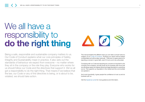# We all have a responsibility to do the right thing

Being a safe, responsible and sustainable company matters to us. Our Code of Conduct explains what our core principles of Safety, Integrity and Sustainability mean in practice. It also sets out the standards of behaviour we expect from everyone – no matter where they sit in the company or the role they play. Everyone who works for us should follow our Code and the directives that support it. We've all got a responsibility to do the right thing. That means if we believe that the law, our Code or any of the directives is being, or is about to be, violated, we should take action.



This manual explains the different ways you can raise a concern about a violation of our Code of Conduct. Anything you report will be treated confidentially and will be taken seriously. There are no repercussions for reporting a concern in good faith, even if it turns out to be unfounded.

Complying with our Code and reporting any concerns is important to the company and ourselves, and lets those we do business with know that we will always apply the highest ethical and legal standards to everything we do. This supports our reputation in the market and the communities we operate in.

And most importantly, it gives people the confidence to trust us and do business with us.

Visit the SpeakUp! portal for more guidance and information.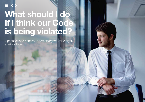# What should I do if I think our Code is being violated?

4

Openness and honesty is something we value highly at AkzoNobel.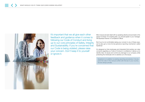

It's important that we all give each other feedback and guidance when it comes to following our Code of Conduct and living up to our core principles of Safety, Integrity and Sustainability. If you're concerned that our Code is being violated, please raise your concern. Don't keep it to yourself or ignore it.

Minor issues are best dealt with by speaking directly and promptly to the person involved. For anything else, you should speak to your manager, HR Business Partner or Compliance Officer.

But if you're not comfortable raising your concern in any of these ways, we've also got a more formal grievance reporting mechanism called SpeakUp!

It's designed so that employees and interested third parties can raise concerns regarding our Code of Conduct in confidence. It allows us to identify risks, fix issues and control any damage to our company while protecting the individuals who've alerted us to the issues.

SpeakUp! is in addition to existing reporting procedures. If at any point the rules in this manual conflict with the law in your country, the law always prevails.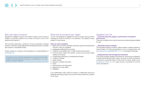# Who can raise concerns?

SpeakUp! is available to anyone who wants to raise a concern about a violation or potential violation of our Code of Conduct or any of the directives that support it.

This includes employees, contractors, former employees, business partners, customers, people affected by AkzoNobel products or activities and investors in AkzoNobel shares.

People outside our company can find guidance on using SpeakUp! on akzonobel.com

SpeakUp! reports made by employees are governed by the rules outlined in this manual and in Directive 7.11 and Rules 7.11.01 on Code of Conduct violations.

# What sort of concerns can I raise?

You can use SpeakUp! to highlight any kind of conduct that you think is breaking our Code of Conduct or our directives. This applies to past, present or future issues.

### Here are some examples:

- Bribery and corruption, facilitation payments, gifts and entertainment that don't meet our guidelines
- Inadequate auditing and accounting
- Violations of competition law or trade controls and sanctions
- Environmental, health and people, product and process safety violations and issues
- Unauthorised disclosure of confidential information
- Conflicts of interest
- Insider trading
- Misuse of company resources
- Fraud
- Discrimination and harassment
- Breaches of human rights
- Retaliation

If you deliberately make a false accusation or deliberately abuse the SpeakUp! reporting process in any way, this will be viewed as a violation of our Code.

# SpeakUp! isn't for….

## …Concerns about the quality or performance of products and services

There are complaints and customer service procedures already available for that.

## …Reporting serious incidents

This includes emergency incidents, safety incidents, medical incidents or travel incidents. For help and guidance on how to manage these, visit our travel security page and Rules 12.01.5 on emergency response.

### …Disagreements with management decisions

This means business strategy and decisions, performance evaluations or salary and benefit decisions. Unless, of course, you think the decision concerned is a potential violation of the Code. If in doubt, speak to your Compliance Officer or our Legal Group's Compliance function ('ALG-Compliance').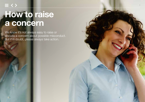# How to raise a concern

We know it's not always easy to raise or discuss a concern about possible misconduct. But if in doubt, please always take action.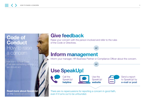# Code of **Conduct** How to raise a concern

We stand for our Code. If we see something wrong we should act.

Read more about SpeakUp! on the SpeakUp! portal

# Give feedback

Raise your concern with the person involved and refer to the rules of the Code or Directives.

# Inform management

Inform your manager, HR Business Partner or Compliance Officer about the concern.

or

or

# Use SpeakUp!

Call the SpeakUp! helpline

Use the SpeakUp! website



Send a report to SpeakUp! by e-mail or post

There are no repercussions for reporting a concern in good faith, even if it turns out to be unfounded.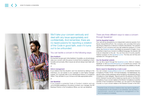

We'll take your concern seriously and deal with any issue appropriately and confidentially. And remember, there are no repercussions for reporting a violation of the Code in good faith, even if it turns out to be unfounded.

## You can tackle a concern in the following ways:

## Give feedback

It's important we give each other feedback. If possible, you should always raise your concern with the person involved first by speaking to them honestly and promptly. Minor issues are almost always best dealt with this way.

or

### Inform management

If you believe that the situation can't be resolved by talking to the individual, you can speak to your manager or next higher manager instead. You could also talk to your HR Business Partner or Compliance Officer. They will listen to your concerns and take appropriate action.

or

## Use SpeakUp!

If you suspect a potential Code of Conduct violation and are uncomfortable speaking to the person involved, your manager, the HR Business Partner or the Compliance Officer, you can use SpeakUp!

# There are three different ways to raise a concern through SpeakUp!

## Call the SpeakUp! helpline

Your call will be answered by an independent external operator from Navex Global/EthicsPoint, the company who provides third party reporting by telephone or internet on behalf of AkzoNobel. The operator will listen to your concerns and may ask additional questions. In most cases, the SpeakUp! helpline will initially be answered in English. If you would like to report your concern in a different language, the operator will invite an interpreter to the call. You can find a list of country-specific helpline numbers on the SpeakUp! portal. The lines are toll-free and operated 24/7 throughout the year.

### Use the SpeakUp! website

You can file a report through the SpeakUp! portal. Click on 'create a SpeakUp!' or visit akzonobel.ethicspoint.com to submit your concern. Full instructions in several languages and a Q&A section are available on the site.

### Send a report to SpeakUp! by e-mail or post

You can contact speakup@akzonobel.com or AkzoNobel Director Compliance, PO Box 75730, 1070 AS Amsterdam, The Netherlands. Any reports made to these addresses will be handled by AkzoNobel's Director Compliance or their delegate. Reports send for the attention of the CEO and/or General Counsel will be treated as reports sent to the Director Compliance. If your concern relates to the Director Compliance or another member of the Compliance Committee, you can report to the General Counsel, or, if your concern relates to the General Counsel, to the CEO.

Potential Code of Conduct violations that may lead to significant consequences for the company or an individual, such as fines or imprisonment, should be reported to management or the ALG-Compliance immediately.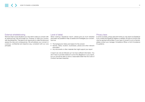# External whistleblowing

We know that in some situations you may wish to raise you concern with an external body. We encourage you, however, to raise your concern with AkzoNobel first. That gives us an opportunity to collect the facts and assess the risks and consequences. We will address your concern in a serious, confidential and objective way, consistent with our core principles.

# Level of detail

When making a SpeakUp! report, please give as much detailed information as possible to help us assess and investigate your concern. Such as:

- The background, history and reason for the concern
- Names, dates, location, businesses, places and other relevant information
- Any documents or other materials that might support your report

A report can only be followed up if we have sufficient information. You don't have to provide evidence to prove the allegations in your report, but you should be able to show a reasonable belief that the Code of Conduct has been breached.

## Privacy laws

In some countries, privacy laws limit what you may report via SpeakUp! If you contact the SpeakUp! helpline or website, the type of concern that may be reported will be listed. If your type of concern is not on that list, please contact your manager, Compliance Officer or ALG-Compliance for guidance.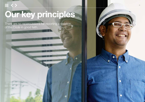# Our key principles

There are no repercussions for reporting a violation of the Code in good faith.

 $\equiv$  <  $>$ 



0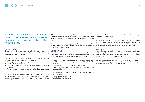To provide comfort to report concerns and protection for reporters, we apply three key principles: Non-retaliation, Confidentiality and Anonymity.

## Non-retaliation

Employees who SpeakUp! are protected. This means there are no repercussions for anyone reporting a violation of the Code in good faith, even if it turns out to be unfounded.

Here are examples of the kind of behaviours that should never happen as a result of your report. These won't be tolerated.

- Blaming you for causing a problem, because you filed a report
- Threatening or harassing you
- Talking or gossiping about the report or a witness's participation in the investigation
- Remarking that you should transfer to another department or quit your job

In essence, you should be treated as if no report was filed. We guarantee that no disciplinary measures or other steps will be taken against you for raising a genuine concern, even if your concern later turns out to be unfounded, mistaken or misguided.

Until a decision is taken on the report there is always a presumption of good faith. Various laws in the countries in which we operate, provide statutory protection for whistle-blowers. AkzoNobel respects and follows those laws.

But remember, you won't be protected if you willingly made false accusations or abused SpeakUp! Filing a report in bad faith is a violation of the Code of Conduct in itself.

## **Confidentiality**

We treat all reports in confidence, as far as we possibly can. We consider confidentiality at every stage, but there are some circumstances where we may need to share information about a SpeakUp! report.

For instance, information may be disclosed in the following situations:

- To ALG-Compliance staff managing the Code of Conduct matter database
- To the relevant Compliance Officer and case manager
- To the individual involved and witnesses interviewed, unless specifically requested otherwise
- To Compliance Committee members
- To the relevant Compliance Committees for decision making as explained below
- To management for follow-up
- To authorities, if required by law

We are committed to restrict sharing of the information to those people who have a need-to-know.

All parties, including the person involved, are entitled to confidentiality in order to avoid unnecessary damage to their reputation. This means you also have a responsibility to keep the matter confidential, to be discreet and preferably not discuss your report with colleagues or others.

## Anonymity

You're always encouraged to give your name and contact details when making a report. This makes the investigative process easier. But if you're uncomfortable identifying yourself, you can report your concern anonymously, to the extent allowed by local laws.

Sometimes, anonymous reports are harder to investigate, for instance if we do not have enough information or if we are unable to verify your report with you or develop an investigation plan.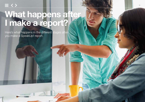# What happens after<br>I make a report?

Here's what happens in the different stages after you make a SpeakUp! report.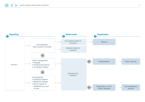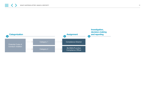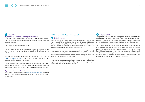# **Reporting**

## If you'd made a report via the helpline or website

When you make a SpeakUp! report, either by phone or via the internet, you'll be asked to create a password and will be given a confidential report key number.

Don't forget to write these details down.

Your report key number is particularly important if you choose to remain anonymous, as we can only contact you through the EthicsPoint website in that case.

You can use this report key number and password to return to the SpeakUp! helpline or website at any point to check the status of your report or provide additional information.

The operator or system will generate a report. If you requested anonymity, the report won't contain your name. All reports received via the SpeakUp! helpline and website are then sent to ALG-Compliance for further action.

### If you've sent an e-mail or letter

If you make a report by e-mailing speakup@akzonobel.com or writing a letter to the Director Compliance, it will go to ALG-Compliance for further action.

# ALG-Compliance next steps

# 2 Initial review

ALG-Compliance will make an initial assessment whether the report was made in good faith and whether the concern is a potential Code of Conduct violation. They'll then decide on the type of investigation needed and who will be responsible for the investigation. You'll receive an acknowledgement of receipt within 8 working days.

If you've given us your name and address, and your report falls outside the scope of the SpeakUp! procedure we may return it, or let you know that we've referred it to the correct area. We may also get in touch if we need more information or substantiation.

If you filed the report anonymously, you should contact the SpeakUp! helpline or access the website 8 working days after you filed your report, to check if additional information is needed.

# **3** Registration

All SpeakUp! reports received through the helpline or website are registered in the central Code of Conduct matter database by Navex Global/EthicsPoint. Reports received by e-mail or letter are registered in the central Code of Conduct matter database by ALG-Compliance.

ALG-Compliance will also capture any potential Code of Conduct violations that they become aware of that have been raised by speaking to an individual, manager, HR Business Partner or Compliance Officer. Potential violations that come up in the ordinary course of business will also be captured. This might come up as part of an internal audit, for example. They'll be added to the database and will be investigated, but they won't be governed by guidance in this manual.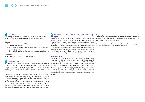# 4 Categorization

Depending on the nature, urgency and potential impact of reports, ALG-Compliance will categorize them at their discretion as follows:

### Category 1

- Potential Code of Conduct violations involving:
	- EUR 500,000 or more
	- A Supervisory Board, ExCo or BA/BU/SMU MT member or an ExCo direct report
	- Competition law, bribery and corruption or export control allegations

## Category 2

• All other potential Code of Conduct violations

# **5** Assignment

As a general rule, Category 1 reports will be assigned to the Compliance Director and Category 2 reports will be assigned to the Compliance Officer of the relevant business or function. ALG-Compliance may involve itself in Category 2 matters if this is felt necessary or conducive to the investigation.

The Compliance Director or the business or functional Compliance Officer will be responsible for investigating the report. Everyone involved in investigating a concern is trained in our SpeakUp! rules and in how to carry out an investigation. Outside experts such as lawyers or accountants may be appointed by the Compliance Director or Compliance Officer to conduct or assist the investigation. This might be the case if specific expertise is needed, or if internal capacity isn't available. Depending on the nature of the matter reported, AkzoNobel may claim legal privilege.

# 6 Investigation, decision-making and reporting Investigation

Investigations are focused on facts and aim to establish whether the allegations are correct and whether the Code of Conduct has been violated. They're conducted in an independent, fair and unbiased manner with respect to all parties involved and in accordance with relevant laws and principles. Both the reporter and the person involved have the right to be heard during the investigations. People who become involved in an investigation are encouraged to cooperate and answer any questions completely and honestly. Delaying, interfering with or refusing to cooperate with an investigation may lead to disciplinary measures.

### Decision-making

After the investigation of a Category 1 report has been concluded, the Corporate Compliance Committee will review the findings and decide whether the allegations made are substantiated, partially substantiated or unsubstantiated. If substantiated or partially substantiated it will decide on the appropriate sanctions and measures to take. The BU/SMU/ Function Compliance Committee will decide on the outcome of Category 2 reports. Common sanctions include oral and written warnings, coaching, suspension and termination of employment or relationship. Other measures might include training and strengthening of procedures/ controls.

## **Reporting**

As appropriate, you and the person involved will be informed of the overall findings, for example whether or not we've found the reported Code of Conduct violation to be substantiated.

Once these steps have been completed, the matter will be tagged as 'closed' in the Code of Conduct matter database.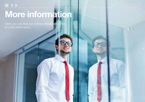# $\equiv$  <> More information

Here you can find our contact details and links to more information.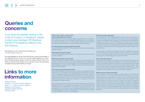# Queries and concerns

If you have any queries relating to the Code of Conduct or SpeakUp!, please contact your manager, HR Business Partner or Compliance Officer in the first instance.

Alternatively, you can contact ALG-Compliance at compliance@akzonobel.com

We value feedback so we can improve the way concerns are handled. If you believe that your concern or a concern raised against you, hasn't been handled properly, please contact the Director Internal Audit. The Director Internal Audit will give you a decision about the submitted complaint and any action taken as a result.

# Links to more information

Code of Conduct Directive 7.11 Code of Conduct violations Rules 7.11.1 Code of Conduct violations SpeakUp! portal (internal) SpeakUp! website (external) Directives Portal

## Personal data protection Who is responsible for the data?

Akzo Nobel N.V., and the AkzoNobel affiliate responsible for the investigation, is the data controller for the processing of personal data in the context of SpeakUp! Akzo Nobel N.V. and, where required, affiliates have notified the processing of personal data to the national data protection authorities.

### For what purpose is personal data processed?

Personal data is processed for the purpose of handling and investigating SpeakUp! reports.

#### What does the purpose entail?

AkzoNobel processes personal data when it handles reports about Code of Conduct violations.

### Which personal data is processed?

The data processed is limited to the name, position and contact details of the reporter, the person involved and all persons participating in the investigation and handling of the report, the reported facts, the information gathered during the investigation, the results of the investigation and the actions that will be taken following the investigation.

### How long is the personal data stored?

Personal data relating to reports that have been found unsubstantiated shall be deleted as soon as possible. Personal data relating to reports that have been found substantiated will be deleted within eight (8) weeks after the verification work is completed. If disciplinary measures are taken or court proceedings are filed against the person involved or the reporter, the data will be deleted within eight (8) weeks after the disciplinary measures or completion of the court proceedings (in highest instance).

After these storage periods have ended, certain personal data are kept for historic reference, learning, statistics and reporting. This includes region, BU/ SMU/BA/Function, description of the incident, issue type, results of the investigation and actions taken. Direct personally identifiable data is removed. This aggregated personal data is deleted after one year except, if the data is needed to fulfill legal, notary or fiscal obligations.

### Who has access to the data?

Only those persons within AkzoNobel who need to know the information to execute their tasks under SpeakUp! have access to personal data relating to the report. AkzoNobel involved an agency that operates the external SpeakUp! helpline and website. In so far this agency has access to personal data, AkzoNobel has taken the necessary contractual and organizational measures to ensure that the data are only processed to the extent necessary to perform the services. Personal data will not be supplied to other parties, except when required by law.

If it is necessary to transfer personal data to a person or legal entity in a country outside the European Economic Area that does not provide for an adequate level of protection, AkzoNobel will adhere to requirements under applicable law and arrange for suitable safeguards to enable this transfer.

### How is the data secured?

AkzoNobel and the agency that operates the external SpeakUp! helpline and website have taken adequate safeguards to ensure the confidentiality and security of the personal data. Such measures include authentication processes and other means necessary to protect the reporting employee's identity. Also, personal data relating to SpeakUp! will be processed separately from other employee/HR information. All persons participating in the investigation and handling of the report shall be bound by confidentiality obligations.

### Right to access, edit and removal?

Any employee may request its manager, Compliance Officer or the Compliance function whether or not a report has been filed involving him or her. If so, the employee will be provided with a written overview of the personal data available about him unless this would seriously hinder the investigation. If the personal data proves to be incorrect or irrelevant, the person involved can request correction or removal of the data. In addition, the person involved has a right to object to the processing of personal data on the basis of compelling legitimate grounds relating to his particular situation. Replies to a request for access, correction or removal shall be provided in writing as soon as reasonably possible, but no later than four (4) weeks. Any refusal shall set out the reason therefore.